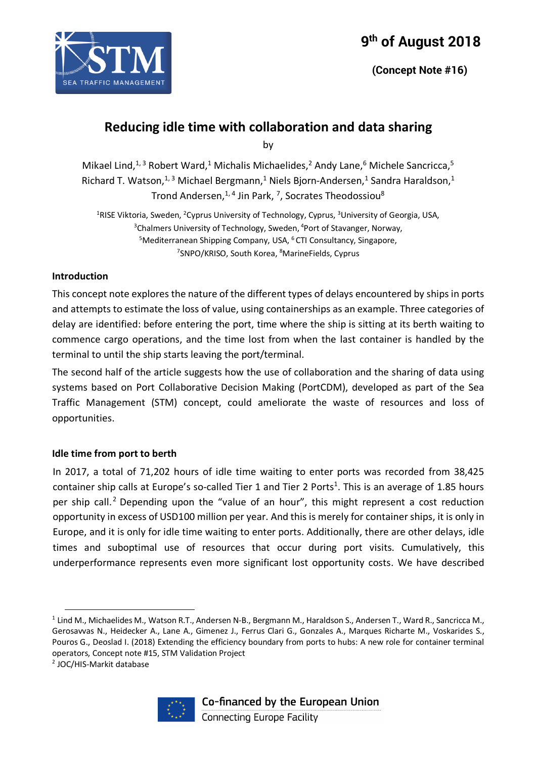



by

Mikael Lind,<sup>1,3</sup> Robert Ward,<sup>1</sup> Michalis Michaelides,<sup>2</sup> Andy Lane,<sup>6</sup> Michele Sancricca,<sup>5</sup> Richard T. Watson,<sup>1,3</sup> Michael Bergmann,<sup>1</sup> Niels Bjorn-Andersen,<sup>1</sup> Sandra Haraldson,<sup>1</sup> Trond Andersen,<sup>1,4</sup> Jin Park, <sup>7</sup>, Socrates Theodossiou<sup>8</sup>

<sup>1</sup>RISE Viktoria, Sweden, <sup>2</sup>Cyprus University of Technology, Cyprus, <sup>3</sup>University of Georgia, USA, <sup>3</sup>Chalmers University of Technology, Sweden, <sup>4</sup>Port of Stavanger, Norway, <sup>5</sup>Mediterranean Shipping Company, USA, <sup>6</sup> CTI Consultancy, Singapore, <sup>7</sup>SNPO/KRISO, South Korea, <sup>8</sup>MarineFields, Cyprus

### **Introduction**

SEA TRAFFIC MANAGEMENT

This concept note explores the nature of the different types of delays encountered by ships in ports and attempts to estimate the loss of value, using containerships as an example. Three categories of delay are identified: before entering the port, time where the ship is sitting at its berth waiting to commence cargo operations, and the time lost from when the last container is handled by the terminal to until the ship starts leaving the port/terminal.

The second half of the article suggests how the use of collaboration and the sharing of data using systems based on Port Collaborative Decision Making (PortCDM), developed as part of the Sea Traffic Management (STM) concept, could ameliorate the waste of resources and loss of opportunities.

### **Idle time from port to berth**

In 2017, a total of 71,202 hours of idle time waiting to enter ports was recorded from 38,425 container ship calls at Europe's so-called Tier 1 and Tier 2 Ports<sup>1</sup>. This is an average of 1.85 hours per ship call.<sup>2</sup> Depending upon the "value of an hour", this might represent a cost reduction opportunity in excess of USD100 million per year. And this is merely for container ships, it is only in Europe, and it is only for idle time waiting to enter ports. Additionally, there are other delays, idle times and suboptimal use of resources that occur during port visits. Cumulatively, this underperformance represents even more significant lost opportunity costs. We have described

<sup>2</sup> JOC/HIS-Markit database



 $1$  Lind M., Michaelides M., Watson R.T., Andersen N-B., Bergmann M., Haraldson S., Andersen T., Ward R., Sancricca M., Gerosavvas N., Heidecker A., Lane A., Gimenez J., Ferrus Clari G., Gonzales A., Marques Richarte M., Voskarides S., Pouros G., Deoslad I. (2018) Extending the efficiency boundary from ports to hubs: A new role for container terminal operators, Concept note #15, STM Validation Project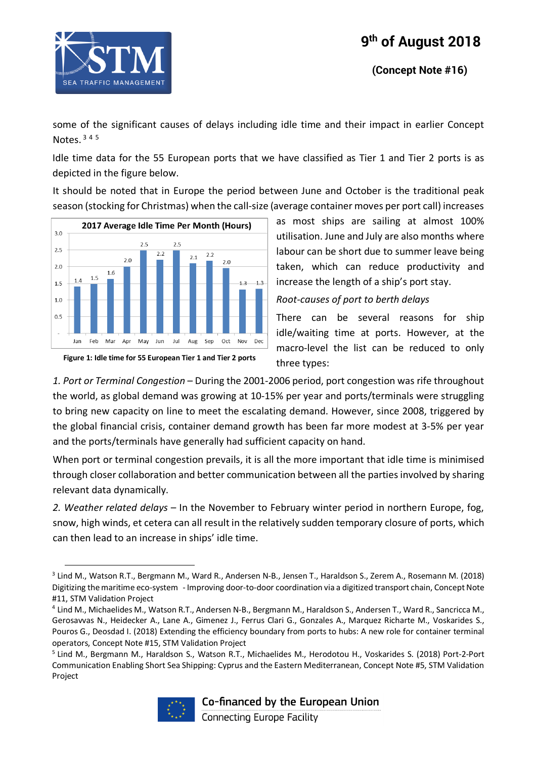





some of the significant causes of delays including idle time and their impact in earlier Concept Notes. <sup>3</sup> <sup>4</sup> <sup>5</sup>

Idle time data for the 55 European ports that we have classified as Tier 1 and Tier 2 ports is as depicted in the figure below.

It should be noted that in Europe the period between June and October is the traditional peak season (stocking for Christmas) when the call-size (average container moves per port call) increases



as most ships are sailing at almost 100% utilisation. June and July are also months where labour can be short due to summer leave being taken, which can reduce productivity and increase the length of a ship's port stay.

*Root-causes of port to berth delays*

There can be several reasons for ship idle/waiting time at ports. However, at the macro-level the list can be reduced to only three types:

*1. Port or Terminal Congestion* – During the 2001-2006 period, port congestion was rife throughout the world, as global demand was growing at 10-15% per year and ports/terminals were struggling to bring new capacity on line to meet the escalating demand. However, since 2008, triggered by the global financial crisis, container demand growth has been far more modest at 3-5% per year and the ports/terminals have generally had sufficient capacity on hand.

When port or terminal congestion prevails, it is all the more important that idle time is minimised through closer collaboration and better communication between all the parties involved by sharing relevant data dynamically.

*2. Weather related delays* – In the November to February winter period in northern Europe, fog, snow, high winds, et cetera can all result in the relatively sudden temporary closure of ports, which can then lead to an increase in ships' idle time.

<sup>5</sup> Lind M., Bergmann M., Haraldson S., Watson R.T., Michaelides M., Herodotou H., Voskarides S. (2018) Port-2-Port Communication Enabling Short Sea Shipping: Cyprus and the Eastern Mediterranean, Concept Note #5, STM Validation Project



 <sup>3</sup> Lind M., Watson R.T., Bergmann M., Ward R., Andersen N-B., Jensen T., Haraldson S., Zerem A., Rosemann M. (2018) Digitizing the maritime eco-system - Improving door-to-door coordination via a digitized transport chain, Concept Note #11, STM Validation Project

<sup>4</sup> Lind M., Michaelides M., Watson R.T., Andersen N-B., Bergmann M., Haraldson S., Andersen T., Ward R., Sancricca M., Gerosavvas N., Heidecker A., Lane A., Gimenez J., Ferrus Clari G., Gonzales A., Marquez Richarte M., Voskarides S., Pouros G., Deosdad I. (2018) Extending the efficiency boundary from ports to hubs: A new role for container terminal operators, Concept Note #15, STM Validation Project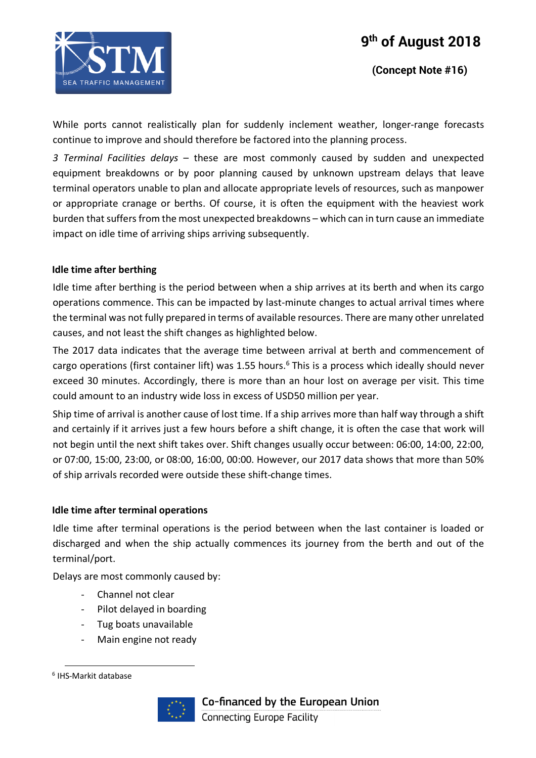

While ports cannot realistically plan for suddenly inclement weather, longer-range forecasts continue to improve and should therefore be factored into the planning process.

*3 Terminal Facilities delays* – these are most commonly caused by sudden and unexpected equipment breakdowns or by poor planning caused by unknown upstream delays that leave terminal operators unable to plan and allocate appropriate levels of resources, such as manpower or appropriate cranage or berths. Of course, it is often the equipment with the heaviest work burden that suffers from the most unexpected breakdowns – which can in turn cause an immediate impact on idle time of arriving ships arriving subsequently.

### **Idle time after berthing**

Idle time after berthing is the period between when a ship arrives at its berth and when its cargo operations commence. This can be impacted by last-minute changes to actual arrival times where the terminal was not fully prepared in terms of available resources. There are many other unrelated causes, and not least the shift changes as highlighted below.

The 2017 data indicates that the average time between arrival at berth and commencement of cargo operations (first container lift) was 1.55 hours.<sup>6</sup> This is a process which ideally should never exceed 30 minutes. Accordingly, there is more than an hour lost on average per visit. This time could amount to an industry wide loss in excess of USD50 million per year.

Ship time of arrival is another cause of lost time. If a ship arrives more than half way through a shift and certainly if it arrives just a few hours before a shift change, it is often the case that work will not begin until the next shift takes over. Shift changes usually occur between: 06:00, 14:00, 22:00, or 07:00, 15:00, 23:00, or 08:00, 16:00, 00:00. However, our 2017 data shows that more than 50% of ship arrivals recorded were outside these shift-change times.

### **Idle time after terminal operations**

Idle time after terminal operations is the period between when the last container is loaded or discharged and when the ship actually commences its journey from the berth and out of the terminal/port.

Delays are most commonly caused by:

- Channel not clear
- Pilot delayed in boarding
- Tug boats unavailable
- Main engine not ready

 <sup>6</sup> IHS-Markit database



Co-financed by the European Union **Connecting Europe Facility**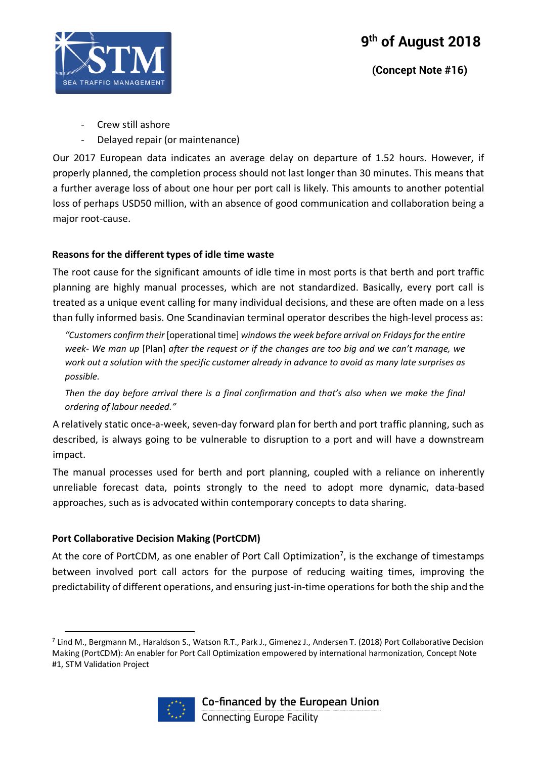

 **(Concept Note #16)**

- Crew still ashore
- Delayed repair (or maintenance)

Our 2017 European data indicates an average delay on departure of 1.52 hours. However, if properly planned, the completion process should not last longer than 30 minutes. This means that a further average loss of about one hour per port call is likely. This amounts to another potential loss of perhaps USD50 million, with an absence of good communication and collaboration being a major root-cause.

### **Reasons for the different types of idle time waste**

The root cause for the significant amounts of idle time in most ports is that berth and port traffic planning are highly manual processes, which are not standardized. Basically, every port call is treated as a unique event calling for many individual decisions, and these are often made on a less than fully informed basis. One Scandinavian terminal operator describes the high-level process as:

*"Customers confirm their* [operational time] *windows the week before arrival on Fridays for the entire week- We man up* [Plan] *after the request or if the changes are too big and we can't manage, we work out a solution with the specific customer already in advance to avoid as many late surprises as possible.*

*Then the day before arrival there is a final confirmation and that's also when we make the final ordering of labour needed."*

A relatively static once-a-week, seven-day forward plan for berth and port traffic planning, such as described, is always going to be vulnerable to disruption to a port and will have a downstream impact.

The manual processes used for berth and port planning, coupled with a reliance on inherently unreliable forecast data, points strongly to the need to adopt more dynamic, data-based approaches, such as is advocated within contemporary concepts to data sharing.

### **Port Collaborative Decision Making (PortCDM)**

At the core of PortCDM, as one enabler of Port Call Optimization<sup>7</sup>, is the exchange of timestamps between involved port call actors for the purpose of reducing waiting times, improving the predictability of different operations, and ensuring just-in-time operations for both the ship and the

 $^7$  Lind M., Bergmann M., Haraldson S., Watson R.T., Park J., Gimenez J., Andersen T. (2018) Port Collaborative Decision Making (PortCDM): An enabler for Port Call Optimization empowered by international harmonization, Concept Note #1, STM Validation Project

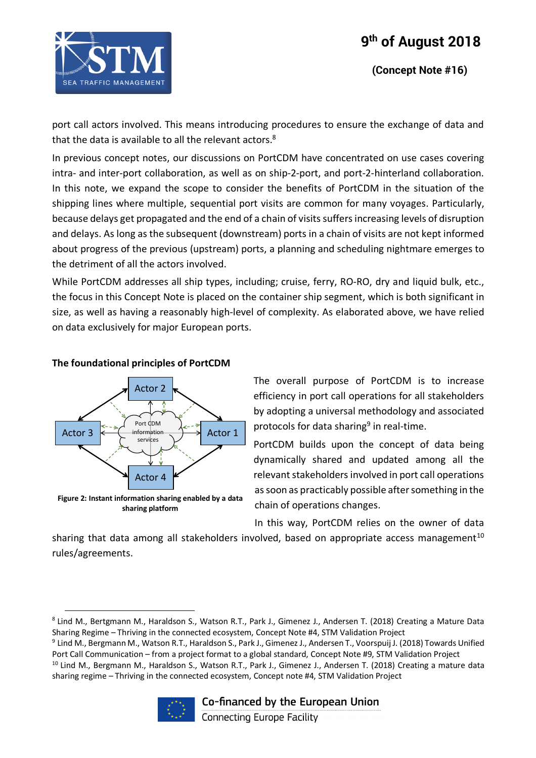

 **(Concept Note #16)**

port call actors involved. This means introducing procedures to ensure the exchange of data and that the data is available to all the relevant actors.<sup>8</sup>

In previous concept notes, our discussions on PortCDM have concentrated on use cases covering intra- and inter-port collaboration, as well as on ship-2-port, and port-2-hinterland collaboration. In this note, we expand the scope to consider the benefits of PortCDM in the situation of the shipping lines where multiple, sequential port visits are common for many voyages. Particularly, because delays get propagated and the end of a chain of visits suffers increasing levels of disruption and delays. As long as the subsequent (downstream) ports in a chain of visits are not kept informed about progress of the previous (upstream) ports, a planning and scheduling nightmare emerges to the detriment of all the actors involved.

While PortCDM addresses all ship types, including; cruise, ferry, RO-RO, dry and liquid bulk, etc., the focus in this Concept Note is placed on the container ship segment, which is both significant in size, as well as having a reasonably high-level of complexity. As elaborated above, we have relied on data exclusively for major European ports.

### **The foundational principles of PortCDM**



The overall purpose of PortCDM is to increase efficiency in port call operations for all stakeholders by adopting a universal methodology and associated protocols for data sharing<sup>9</sup> in real-time.

PortCDM builds upon the concept of data being dynamically shared and updated among all the relevant stakeholders involved in port call operations as soon as practicably possible after something in the chain of operations changes.

In this way, PortCDM relies on the owner of data

sharing that data among all stakeholders involved, based on appropriate access management<sup>10</sup> rules/agreements.

<sup>&</sup>lt;sup>9</sup> Lind M., Bergmann M., Watson R.T., Haraldson S., Park J., Gimenez J., Andersen T., Voorspuij J. (2018) Towards Unified Port Call Communication – from a project format to a global standard, Concept Note #9, STM Validation Project <sup>10</sup> Lind M., Bergmann M., Haraldson S., Watson R.T., Park J., Gimenez J., Andersen T. (2018) Creating a mature data sharing regime – Thriving in the connected ecosystem, Concept note #4, STM Validation Project



### Co-financed by the European Union

<sup>8</sup> Lind M., Bertgmann M., Haraldson S., Watson R.T., Park J., Gimenez J., Andersen T. (2018) Creating a Mature Data Sharing Regime – Thriving in the connected ecosystem, Concept Note #4, STM Validation Project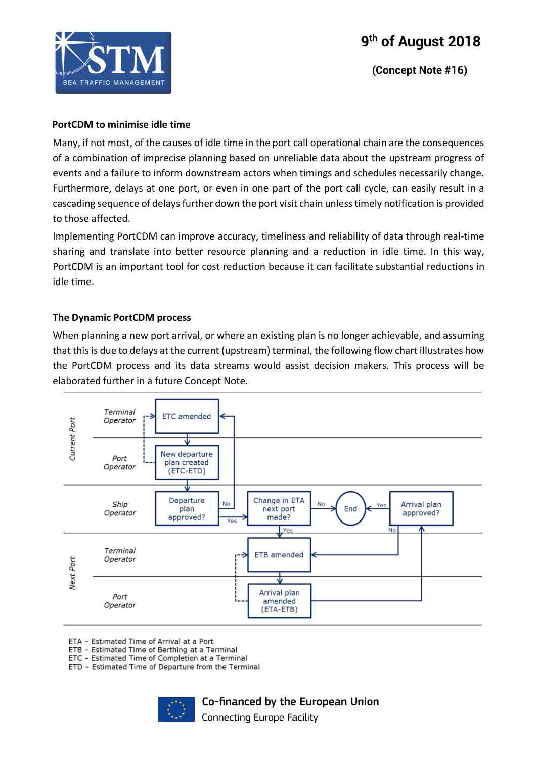

 **(Concept Note #16)**

#### **PortCDM to minimise idle time**

Many, if not most, of the causes of idle time in the port call operational chain are the consequences of a combination of imprecise planning based on unreliable data about the upstream progress of events and a failure to inform downstream actors when timings and schedules necessarily change. Furthermore, delays at one port, or even in one part of the port call cycle, can easily result in a cascading sequence of delays further down the port visit chain unless timely notification is provided to those affected.

Implementing PortCDM can improve accuracy, timeliness and reliability of data through real-time sharing and translate into better resource planning and a reduction in idle time. In this way, PortCDM is an important tool for cost reduction because it can facilitate substantial reductions in idle time.

### **The Dynamic PortCDM process**

When planning a new port arrival, or where an existing plan is no longer achievable, and assuming that this is due to delays at the current (upstream) terminal, the following flow chart illustrates how the PortCDM process and its data streams would assist decision makers. This process will be elaborated further in a future Concept Note.



ETA - Estimated Time of Arrival at a Port

ETB - Estimated Time of Berthing at a Terminal

ETC - Estimated Time of Completion at a Terminal

ETD - Estimated Time of Departure from the Terminal



Co-financed by the European Union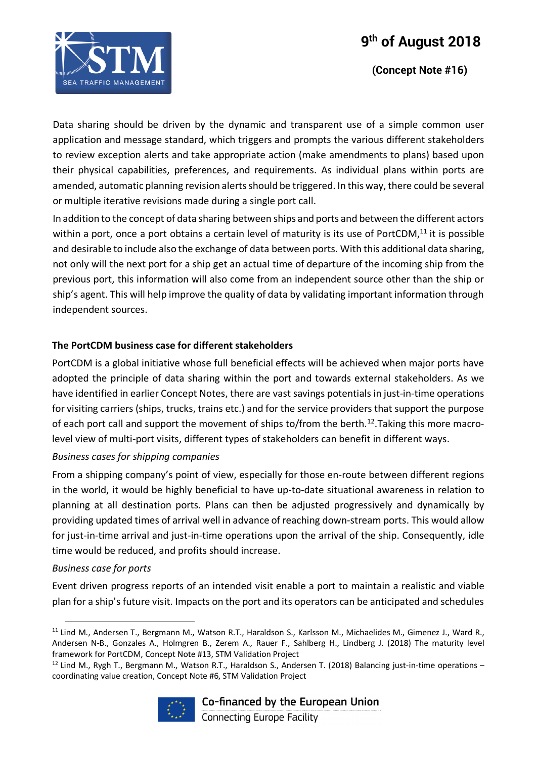## **9th of August 2018**



 **(Concept Note #16)**

Data sharing should be driven by the dynamic and transparent use of a simple common user application and message standard, which triggers and prompts the various different stakeholders to review exception alerts and take appropriate action (make amendments to plans) based upon their physical capabilities, preferences, and requirements. As individual plans within ports are amended, automatic planning revision alerts should be triggered. In this way, there could be several or multiple iterative revisions made during a single port call.

In addition to the concept of data sharing between ships and ports and between the different actors within a port, once a port obtains a certain level of maturity is its use of PortCDM,<sup>11</sup> it is possible and desirable to include also the exchange of data between ports. With this additional data sharing, not only will the next port for a ship get an actual time of departure of the incoming ship from the previous port, this information will also come from an independent source other than the ship or ship's agent. This will help improve the quality of data by validating important information through independent sources.

### **The PortCDM business case for different stakeholders**

PortCDM is a global initiative whose full beneficial effects will be achieved when major ports have adopted the principle of data sharing within the port and towards external stakeholders. As we have identified in earlier Concept Notes, there are vast savings potentials in just-in-time operations for visiting carriers (ships, trucks, trains etc.) and for the service providers that support the purpose of each port call and support the movement of ships to/from the berth.<sup>12</sup>. Taking this more macrolevel view of multi-port visits, different types of stakeholders can benefit in different ways.

### *Business cases for shipping companies*

From a shipping company's point of view, especially for those en-route between different regions in the world, it would be highly beneficial to have up-to-date situational awareness in relation to planning at all destination ports. Plans can then be adjusted progressively and dynamically by providing updated times of arrival well in advance of reaching down-stream ports. This would allow for just-in-time arrival and just-in-time operations upon the arrival of the ship. Consequently, idle time would be reduced, and profits should increase.

### *Business case for ports*

Event driven progress reports of an intended visit enable a port to maintain a realistic and viable plan for a ship's future visit. Impacts on the port and its operators can be anticipated and schedules

 $12$  Lind M., Rygh T., Bergmann M., Watson R.T., Haraldson S., Andersen T. (2018) Balancing just-in-time operations – coordinating value creation, Concept Note #6, STM Validation Project



# Co-financed by the European Union

 <sup>11</sup> Lind M., Andersen T., Bergmann M., Watson R.T., Haraldson S., Karlsson M., Michaelides M., Gimenez J., Ward R., Andersen N-B., Gonzales A., Holmgren B., Zerem A., Rauer F., Sahlberg H., Lindberg J. (2018) The maturity level framework for PortCDM, Concept Note #13, STM Validation Project